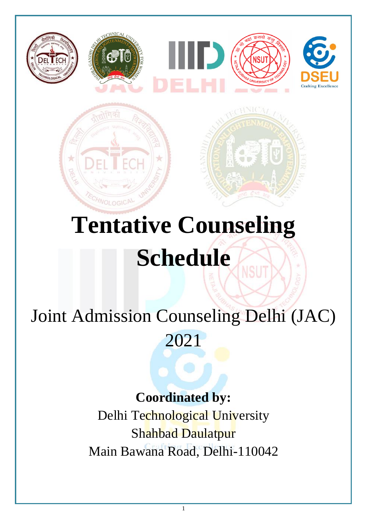

# **Tentative Counseling Schedule** VSL

# Joint Admission Counseling Delhi (JAC)

2021

# **Coordinated by:**

Delhi Technological University Shahbad Daulatpur Main Bawana Road, Delhi-110042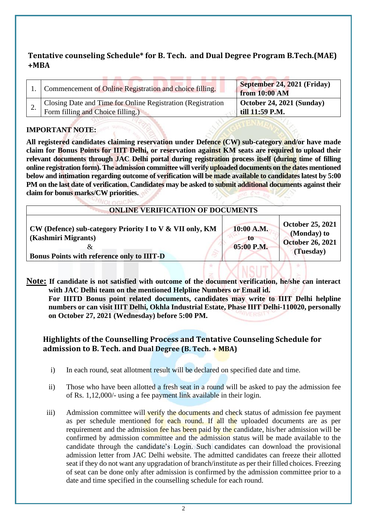#### **Tentative counseling Schedule\* for B. Tech. and Dual Degree Program B.Tech.(MAE) +MBA**

| 1. Commencement of Online Registration and choice filling.                                       | September 24, 2021 (Friday)<br>from 10:00 AM         |
|--------------------------------------------------------------------------------------------------|------------------------------------------------------|
| Closing Date and Time for Online Registration (Registration<br>Form filling and Choice filling.) | $\vert$ October 24, 2021 (Sunday)<br>till 11:59 P.M. |

#### **IMPORTANT NOTE:**

**All registered candidates claiming reservation under Defence (CW) sub-category and/or have made claim for Bonus Points for IIIT Delhi, or reservation against KM seats are required to upload their relevant documents through JAC Delhi portal during registration process itself (during time of filling online registration form). The admission committee will verify uploaded documents on the dates mentioned below and intimation regarding outcome of verification will be made available to candidates latest by 5:00 PM on the last date of verification. Candidates may be asked to submit additional documents against their claim for bonus marks/CW priorities.**

| <b>ONLINE VERIFICATION OF DOCUMENTS</b>                                                                                                   |                                 |                                                                                |
|-------------------------------------------------------------------------------------------------------------------------------------------|---------------------------------|--------------------------------------------------------------------------------|
| CW (Defence) sub-category Priority I to V & VII only, KM<br>(Kashmiri Migrants)<br>ά<br><b>Bonus Points with reference only to IIIT-D</b> | 10:00 A.M.<br>TO.<br>05:00 P.M. | <b>October 25, 2021</b><br>(Monday) to<br><b>October 26, 2021</b><br>(Tuesday) |
|                                                                                                                                           |                                 |                                                                                |

**Note: If candidate is not satisfied with outcome of the document verification, he/she can interact with JAC Delhi team on the mentioned Helpline Numbers or Email id. For IIITD Bonus point related documents, candidates may write to IIIT Delhi helpline numbers or can visit IIIT Delhi, Okhla Industrial Estate, Phase IIIT Delhi-110020, personally on October 27, 2021 (Wednesday) before 5:00 PM.**

#### **Highlights of the Counselling Process and Tentative Counseling Schedule for admission to B. Tech. and Dual Degree (B. Tech. + MBA)**

- i) In each round, seat allotment result will be declared on specified date and time.
- ii) Those who have been allotted a fresh seat in a round will be asked to pay the admission fee of Rs. 1,12,000/- using a fee payment link available in their login.
- iii) Admission committee will verify the documents and check status of admission fee payment as per schedule mentioned for each round. If all the uploaded documents are as per requirement and the admission fee has been paid by the candidate, his/her admission will be confirmed by admission committee and the admission status will be made available to the candidate through the candidate's Login. Such candidates can download the provisional admission letter from JAC Delhi website. The admitted candidates can freeze their allotted seat if they do not want any upgradation of branch/institute as per their filled choices. Freezing of seat can be done only after admission is confirmed by the admission committee prior to a date and time specified in the counselling schedule for each round.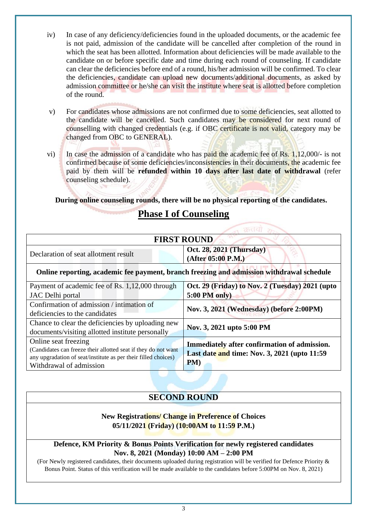- iv) In case of any deficiency/deficiencies found in the uploaded documents, or the academic fee is not paid, admission of the candidate will be cancelled after completion of the round in which the seat has been allotted. Information about deficiencies will be made available to the candidate on or before specific date and time during each round of counseling. If candidate can clear the deficiencies before end of a round, his/her admission will be confirmed. To clear the deficiencies, candidate can upload new documents/additional documents, as asked by admission committee or he/she can visit the institute where seat is allotted before completion of the round.
- v) For candidates whose admissions are not confirmed due to some deficiencies, seat allotted to the candidate will be cancelled. Such candidates may be considered for next round of counselling with changed credentials (e.g. if OBC certificate is not valid, category may be changed from OBC to GENERAL).
- vi) In case the admission of a candidate who has paid the academic fee of Rs. 1,12,000/- is not confirmed because of some deficiencies/inconsistencies in their documents, the academic fee paid by them will be **refunded within 10 days after last date of withdrawal** (refer counseling schedule).

**During online counseling rounds, there will be no physical reporting of the candidates.**

# **Phase I of Counseling**

| <b>FIRST ROUND</b>                                                                        |                                                      |  |
|-------------------------------------------------------------------------------------------|------------------------------------------------------|--|
| Declaration of seat allotment result                                                      | Oct. 28, 2021 (Thursday)<br>(After 05:00 P.M.)       |  |
| Online reporting, academic fee payment, branch freezing and admission withdrawal schedule |                                                      |  |
| Payment of academic fee of Rs. 1,12,000 through                                           | Oct. 29 (Friday) to Nov. 2 (Tuesday) 2021 (upto      |  |
| <b>JAC</b> Delhi portal                                                                   | $5:00$ PM only)                                      |  |
| Confirmation of admission / intimation of                                                 | Nov. 3, 2021 (Wednesday) (before 2:00PM)             |  |
| deficiencies to the candidates                                                            |                                                      |  |
| Chance to clear the deficiencies by uploading new                                         | Nov. 3, 2021 upto 5:00 PM                            |  |
| documents/visiting allotted institute personally                                          |                                                      |  |
| Online seat freezing                                                                      | Immediately after confirmation of admission.         |  |
| (Candidates can freeze their allotted seat if they do not want                            | Last date and time: Nov. 3, 2021 (upto 11:59)<br>PM) |  |
| any upgradation of seat/institute as per their filled choices)                            |                                                      |  |
| Withdrawal of admission                                                                   |                                                      |  |
|                                                                                           |                                                      |  |

## **SECOND ROUND**

#### **New Registrations/ Change in Preference of Choices 05/11/2021 (Friday) (10:00AM to 11:59 P.M.)**

#### **Defence, KM Priority & Bonus Points Verification for newly registered candidates Nov. 8, 2021 (Monday) 10:00 AM – 2:00 PM**

(For Newly registered candidates, their documents uploaded during registration will be verified for Defence Priority & Bonus Point. Status of this verification will be made available to the candidates before 5:00PM on Nov. 8, 2021)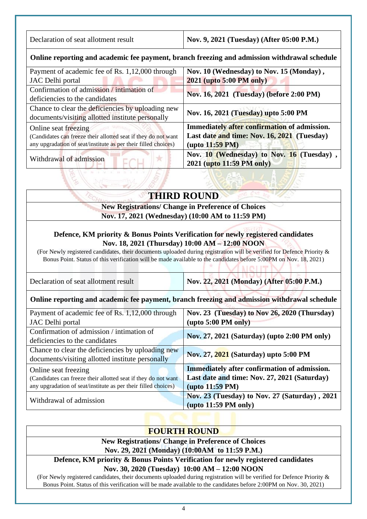| Declaration of seat allotment result | Nov. 9, 2021 (Tuesday) (After 05:00 P.M.) |
|--------------------------------------|-------------------------------------------|
|--------------------------------------|-------------------------------------------|

#### **Online reporting and academic fee payment, branch freezing and admission withdrawal schedule**

| Payment of academic fee of Rs. 1,12,000 through                | Nov. 10 (Wednesday) to Nov. 15 (Monday),     |
|----------------------------------------------------------------|----------------------------------------------|
| JAC Delhi portal                                               | <b>2021 (upto 5:00 PM only)</b>              |
| Confirmation of admission / intimation of                      | Nov. 16, 2021 (Tuesday) (before 2:00 PM)     |
| deficiencies to the candidates                                 |                                              |
| Chance to clear the deficiencies by uploading new              | Nov. 16, 2021 (Tuesday) upto 5:00 PM         |
| documents/visiting allotted institute personally               |                                              |
| Online seat freezing                                           | Immediately after confirmation of admission. |
| (Candidates can freeze their allotted seat if they do not want | Last date and time: Nov. 16, 2021 (Tuesday)  |
| any upgradation of seat/institute as per their filled choices) | $(\text{upto } 11:59 \text{ PM})$            |
| Withdrawal of admission                                        | Nov. 10 (Wednesday) to Nov. 16 (Tuesday),    |
|                                                                | 2021 (upto 11:59 PM only)                    |

# **THIRD ROUND**

#### **New Registrations/ Change in Preference of Choices Nov. 17, 2021 (Wednesday) (10:00 AM to 11:59 PM)**

#### **Defence, KM priority & Bonus Points Verification for newly registered candidates Nov. 18, 2021 (Thursday) 10:00 AM – 12:00 NOON**

(For Newly registered candidates, their documents uploaded during registration will be verified for Defence Priority & Bonus Point. Status of this verification will be made available to the candidates before 5:00PM on Nov. 18, 2021)

| Declaration of seat allotment result                                                         | Nov. 22, 2021 (Monday) (After 05:00 P.M.)           |  |
|----------------------------------------------------------------------------------------------|-----------------------------------------------------|--|
| Online reporting and academic fee payment, branch freezing and admission withdrawal schedule |                                                     |  |
| Payment of academic fee of Rs. 1,12,000 through                                              | Nov. 23 (Tuesday) to Nov 26, 2020 (Thursday)        |  |
| JAC Delhi portal                                                                             | $(\text{upto } 5:00 \text{ PM only})$               |  |
| Confirmation of admission / intimation of                                                    | Nov. 27, 2021 (Saturday) (upto 2:00 PM only)        |  |
| deficiencies to the candidates                                                               |                                                     |  |
| Chance to clear the deficiencies by uploading new                                            | Nov. 27, 2021 (Saturday) upto 5:00 PM               |  |
| documents/visiting allotted institute personally                                             |                                                     |  |
| Online seat freezing                                                                         | <b>Immediately after confirmation of admission.</b> |  |
| (Candidates can freeze their allotted seat if they do not want                               | Last date and time: Nov. 27, 2021 (Saturday)        |  |
| any upgradation of seat/institute as per their filled choices)                               | $(\text{upto }11:59 \text{ PM})$                    |  |
|                                                                                              | Nov. 23 (Tuesday) to Nov. 27 (Saturday), 2021       |  |
| Withdrawal of admission                                                                      | $(\text{upto } 11:59 \text{ PM only})$              |  |

## **FOURTH ROUND**

**New Registrations/ Change in Preference of Choices Nov. 29, 2021 (Monday) (10:00AM to 11:59 P.M.)**

**Defence, KM priority & Bonus Points Verification for newly registered candidates Nov. 30, 2020 (Tuesday) 10:00 AM – 12:00 NOON**

(For Newly registered candidates, their documents uploaded during registration will be verified for Defence Priority & Bonus Point. Status of this verification will be made available to the candidates before 2:00PM on Nov. 30, 2021)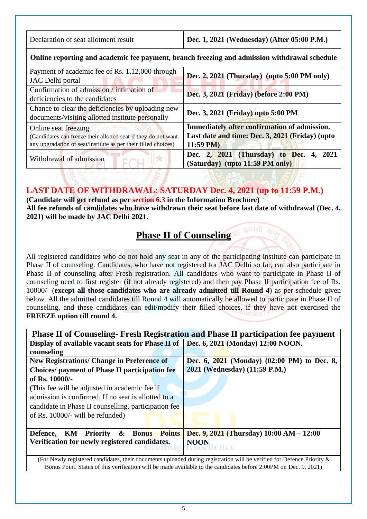| Declaration of seat allotment result                                                                                                                     | Dec. 1, 2021 (Wednesday) (After 05:00 P.M.)                                                                    |  |
|----------------------------------------------------------------------------------------------------------------------------------------------------------|----------------------------------------------------------------------------------------------------------------|--|
| Online reporting and academic fee payment, branch freezing and admission withdrawal schedule                                                             |                                                                                                                |  |
| Payment of academic fee of Rs. 1,12,000 through<br>Dec. 2, 2021 (Thursday) (upto 5:00 PM only)<br>JAC Delhi portal                                       |                                                                                                                |  |
| Confirmation of admission / intimation of<br>deficiencies to the candidates                                                                              | Dec. 3, 2021 (Friday) (before 2:00 PM)                                                                         |  |
| Chance to clear the deficiencies by uploading new<br>documents/visiting allotted institute personally                                                    | Dec. 3, 2021 (Friday) upto 5:00 PM                                                                             |  |
| Online seat freezing<br>(Candidates can freeze their allotted seat if they do not want<br>any upgradation of seat/institute as per their filled choices) | Immediately after confirmation of admission.<br>Last date and time: Dec. 3, 2021 (Friday) (upto<br>$11:59$ PM) |  |
| Withdrawal of admission                                                                                                                                  | Dec. 2, 2021 (Thursday) to Dec. 4,<br>2021<br>(Saturday) (upto 11:59 PM only)                                  |  |

## **LAST DATE OF WITHDRAWAL: SATURDAY Dec. 4, 2021 (up to 11:59 P.M.)**

**(Candidate will get refund as per section 6.3 in the Information Brochure) All fee refunds of candidates who have withdrawn their seat before last date of withdrawal (Dec. 4, 2021) will be made by JAC Delhi 2021.** 

# **Phase II of Counseling**

All registered candidates who do not hold any seat in any of the participating institute can participate in Phase II of counseling. Candidates, who have not registered for JAC Delhi so far, can also participate in Phase II of counseling after Fresh registration. All candidates who want to participate in Phase II of counseling need to first register (if not already registered) and then pay Phase II participation fee of Rs. 10000/- (**except all those candidates who are already admitted till Round 4**) as per schedule given below. All the admitted candidates till Round 4 will automatically be allowed to participate in Phase II of counseling, and these candidates can edit/modify their filled choices, if they have not exercised the **FREEZE option till round 4.**

| <b>Phase II of Counseling- Fresh Registration and Phase II participation fee payment</b>                               |                                                                                                                  |  |
|------------------------------------------------------------------------------------------------------------------------|------------------------------------------------------------------------------------------------------------------|--|
| Display of available vacant seats for Phase II of Dec. 6, 2021 (Monday) 12:00 NOON.                                    |                                                                                                                  |  |
| counseling                                                                                                             |                                                                                                                  |  |
| <b>New Registrations/ Change in Preference of</b>                                                                      | Dec. 6, 2021 (Monday) (02:00 PM) to Dec. 8,                                                                      |  |
| <b>Choices/</b> payment of Phase II participation fee                                                                  | 2021 (Wednesday) (11:59 P.M.)                                                                                    |  |
| of Rs. 10000/-                                                                                                         |                                                                                                                  |  |
| (This fee will be adjusted in academic fee if                                                                          |                                                                                                                  |  |
| admission is confirmed. If no seat is allotted to a                                                                    |                                                                                                                  |  |
| candidate in Phase II counselling, participation fee                                                                   |                                                                                                                  |  |
| of Rs. 10000/- will be refunded)                                                                                       |                                                                                                                  |  |
|                                                                                                                        |                                                                                                                  |  |
| $\boldsymbol{\alpha}$<br>KM<br><b>Bonus</b> Points<br>Priority<br>Defence,                                             | Dec. 9, 2021 (Thursday) $10:00$ AM $- 12:00$                                                                     |  |
| Verification for newly registered candidates.                                                                          | <b>NOON</b>                                                                                                      |  |
|                                                                                                                        |                                                                                                                  |  |
| (For Newly registered candidates, their documents uploaded during registration will be verified for Defence Priority & |                                                                                                                  |  |
|                                                                                                                        | Bonus Point. Status of this verification will be made available to the candidates before 2:00PM on Dec. 9, 2021) |  |